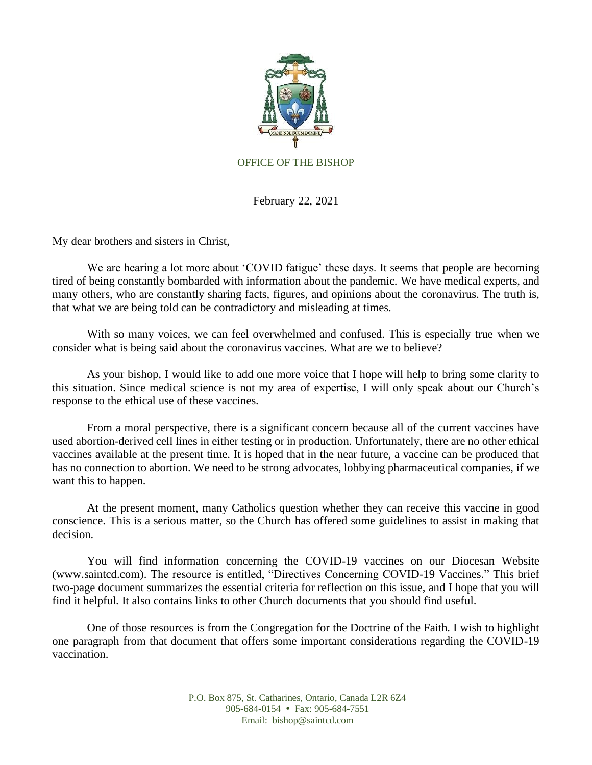

February 22, 2021

My dear brothers and sisters in Christ,

We are hearing a lot more about 'COVID fatigue' these days. It seems that people are becoming tired of being constantly bombarded with information about the pandemic. We have medical experts, and many others, who are constantly sharing facts, figures, and opinions about the coronavirus. The truth is, that what we are being told can be contradictory and misleading at times.

With so many voices, we can feel overwhelmed and confused. This is especially true when we consider what is being said about the coronavirus vaccines. What are we to believe?

As your bishop, I would like to add one more voice that I hope will help to bring some clarity to this situation. Since medical science is not my area of expertise, I will only speak about our Church's response to the ethical use of these vaccines.

From a moral perspective, there is a significant concern because all of the current vaccines have used abortion-derived cell lines in either testing or in production. Unfortunately, there are no other ethical vaccines available at the present time. It is hoped that in the near future, a vaccine can be produced that has no connection to abortion. We need to be strong advocates, lobbying pharmaceutical companies, if we want this to happen.

At the present moment, many Catholics question whether they can receive this vaccine in good conscience. This is a serious matter, so the Church has offered some guidelines to assist in making that decision.

You will find information concerning the COVID-19 vaccines on our Diocesan Website (www.saintcd.com). The resource is entitled, "Directives Concerning COVID-19 Vaccines." This brief two-page document summarizes the essential criteria for reflection on this issue, and I hope that you will find it helpful. It also contains links to other Church documents that you should find useful.

One of those resources is from the Congregation for the Doctrine of the Faith. I wish to highlight one paragraph from that document that offers some important considerations regarding the COVID-19 vaccination.